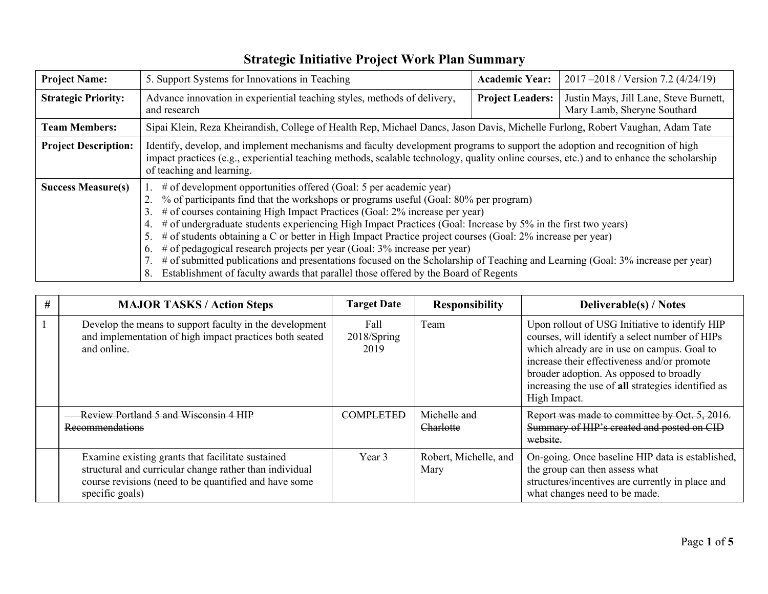| <b>Project Name:</b>        | 5. Support Systems for Innovations in Teaching                                                                                                                                                                                                                                                                                                                                                                                                                                                                                                                                                                                                                                                                                                                                                            |                         | 2017 - 2018 / Version 7.2 (4/24/19)                                   |  |  |  |  |
|-----------------------------|-----------------------------------------------------------------------------------------------------------------------------------------------------------------------------------------------------------------------------------------------------------------------------------------------------------------------------------------------------------------------------------------------------------------------------------------------------------------------------------------------------------------------------------------------------------------------------------------------------------------------------------------------------------------------------------------------------------------------------------------------------------------------------------------------------------|-------------------------|-----------------------------------------------------------------------|--|--|--|--|
| <b>Strategic Priority:</b>  | Advance innovation in experiential teaching styles, methods of delivery,<br>and research                                                                                                                                                                                                                                                                                                                                                                                                                                                                                                                                                                                                                                                                                                                  | <b>Project Leaders:</b> | Justin Mays, Jill Lane, Steve Burnett,<br>Mary Lamb, Sheryne Southard |  |  |  |  |
| <b>Team Members:</b>        | Sipai Klein, Reza Kheirandish, College of Health Rep, Michael Dancs, Jason Davis, Michelle Furlong, Robert Vaughan, Adam Tate                                                                                                                                                                                                                                                                                                                                                                                                                                                                                                                                                                                                                                                                             |                         |                                                                       |  |  |  |  |
| <b>Project Description:</b> | Identify, develop, and implement mechanisms and faculty development programs to support the adoption and recognition of high<br>impact practices (e.g., experiential teaching methods, scalable technology, quality online courses, etc.) and to enhance the scholarship<br>of teaching and learning.                                                                                                                                                                                                                                                                                                                                                                                                                                                                                                     |                         |                                                                       |  |  |  |  |
| <b>Success Measure(s)</b>   | # of development opportunities offered (Goal: 5 per academic year)<br>% of participants find that the workshops or programs useful (Goal: 80% per program)<br># of courses containing High Impact Practices (Goal: 2% increase per year)<br>3.<br># of undergraduate students experiencing High Impact Practices (Goal: Increase by 5% in the first two years)<br>4.<br># of students obtaining a C or better in High Impact Practice project courses (Goal: 2% increase per year)<br>5.<br># of pedagogical research projects per year (Goal: 3% increase per year)<br>6.<br># of submitted publications and presentations focused on the Scholarship of Teaching and Learning (Goal: 3% increase per year)<br>Establishment of faculty awards that parallel those offered by the Board of Regents<br>8. |                         |                                                                       |  |  |  |  |

| # | <b>MAJOR TASKS / Action Steps</b>                                                                                                                                                        | <b>Target Date</b>          | <b>Responsibility</b>         | <b>Deliverable(s) / Notes</b>                                                                                                                                                                                                                                                                                   |  |  |
|---|------------------------------------------------------------------------------------------------------------------------------------------------------------------------------------------|-----------------------------|-------------------------------|-----------------------------------------------------------------------------------------------------------------------------------------------------------------------------------------------------------------------------------------------------------------------------------------------------------------|--|--|
|   | Develop the means to support faculty in the development<br>and implementation of high impact practices both seated<br>and online.                                                        | Fall<br>2018/Spring<br>2019 | Team                          | Upon rollout of USG Initiative to identify HIP<br>courses, will identify a select number of HIPs<br>which already are in use on campus. Goal to<br>increase their effectiveness and/or promote<br>broader adoption. As opposed to broadly<br>increasing the use of all strategies identified as<br>High Impact. |  |  |
|   | Review Portland 5 and Wisconsin 4 HIP<br>Recommendations                                                                                                                                 | COMPLETED                   | Michelle and<br>Charlotte     | Report was made to committee by Oct. 5, 2016.<br>Summary of HIP's created and posted on CID<br>website.                                                                                                                                                                                                         |  |  |
|   | Examine existing grants that facilitate sustained<br>structural and curricular change rather than individual<br>course revisions (need to be quantified and have some<br>specific goals) | Year 3                      | Robert, Michelle, and<br>Mary | On-going. Once baseline HIP data is established,<br>the group can then assess what<br>structures/incentives are currently in place and<br>what changes need to be made.                                                                                                                                         |  |  |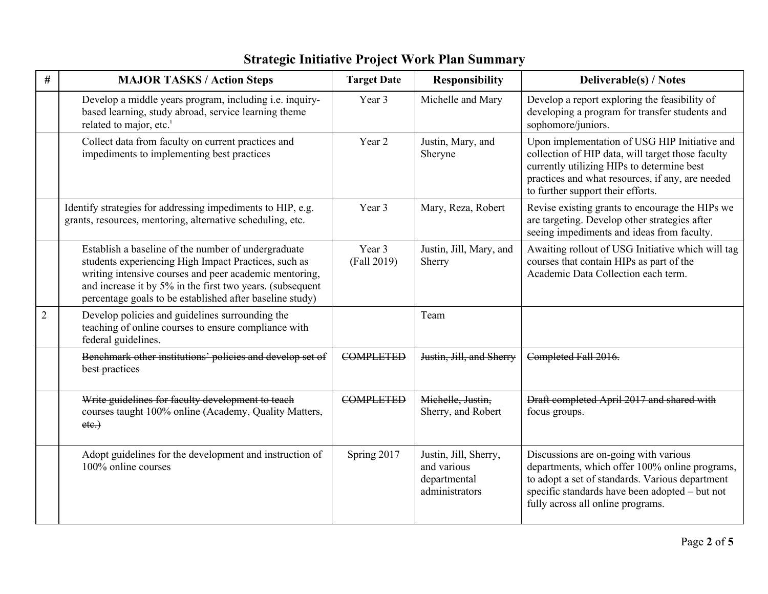| #              | <b>MAJOR TASKS / Action Steps</b>                                                                                                                                                                                                                                                              | <b>Target Date</b>    | <b>Responsibility</b>                                                  | <b>Deliverable(s) / Notes</b>                                                                                                                                                                                                             |
|----------------|------------------------------------------------------------------------------------------------------------------------------------------------------------------------------------------------------------------------------------------------------------------------------------------------|-----------------------|------------------------------------------------------------------------|-------------------------------------------------------------------------------------------------------------------------------------------------------------------------------------------------------------------------------------------|
|                | Develop a middle years program, including i.e. inquiry-<br>based learning, study abroad, service learning theme<br>related to major, etc. <sup>i</sup>                                                                                                                                         | Year 3                | Michelle and Mary                                                      | Develop a report exploring the feasibility of<br>developing a program for transfer students and<br>sophomore/juniors.                                                                                                                     |
|                | Collect data from faculty on current practices and<br>impediments to implementing best practices                                                                                                                                                                                               | Year 2                | Justin, Mary, and<br>Sheryne                                           | Upon implementation of USG HIP Initiative and<br>collection of HIP data, will target those faculty<br>currently utilizing HIPs to determine best<br>practices and what resources, if any, are needed<br>to further support their efforts. |
|                | Identify strategies for addressing impediments to HIP, e.g.<br>grants, resources, mentoring, alternative scheduling, etc.                                                                                                                                                                      | Year 3                | Mary, Reza, Robert                                                     | Revise existing grants to encourage the HIPs we<br>are targeting. Develop other strategies after<br>seeing impediments and ideas from faculty.                                                                                            |
|                | Establish a baseline of the number of undergraduate<br>students experiencing High Impact Practices, such as<br>writing intensive courses and peer academic mentoring,<br>and increase it by 5% in the first two years. (subsequent<br>percentage goals to be established after baseline study) | Year 3<br>(Fall 2019) | Justin, Jill, Mary, and<br>Sherry                                      | Awaiting rollout of USG Initiative which will tag<br>courses that contain HIPs as part of the<br>Academic Data Collection each term.                                                                                                      |
| $\overline{2}$ | Develop policies and guidelines surrounding the<br>teaching of online courses to ensure compliance with<br>federal guidelines.                                                                                                                                                                 |                       | Team                                                                   |                                                                                                                                                                                                                                           |
|                | Benchmark other institutions' policies and develop set of<br>best practices                                                                                                                                                                                                                    | <b>COMPLETED</b>      | Justin, Jill, and Sherry                                               | Completed Fall 2016.                                                                                                                                                                                                                      |
|                | Write guidelines for faculty development to teach<br>courses taught 100% online (Academy, Quality Matters,<br>etc.)                                                                                                                                                                            | <b>COMPLETED</b>      | Michelle, Justin,<br>Sherry, and Robert                                | Draft completed April 2017 and shared with<br>focus groups.                                                                                                                                                                               |
|                | Adopt guidelines for the development and instruction of<br>100% online courses                                                                                                                                                                                                                 | Spring 2017           | Justin, Jill, Sherry,<br>and various<br>departmental<br>administrators | Discussions are on-going with various<br>departments, which offer 100% online programs,<br>to adopt a set of standards. Various department<br>specific standards have been adopted - but not<br>fully across all online programs.         |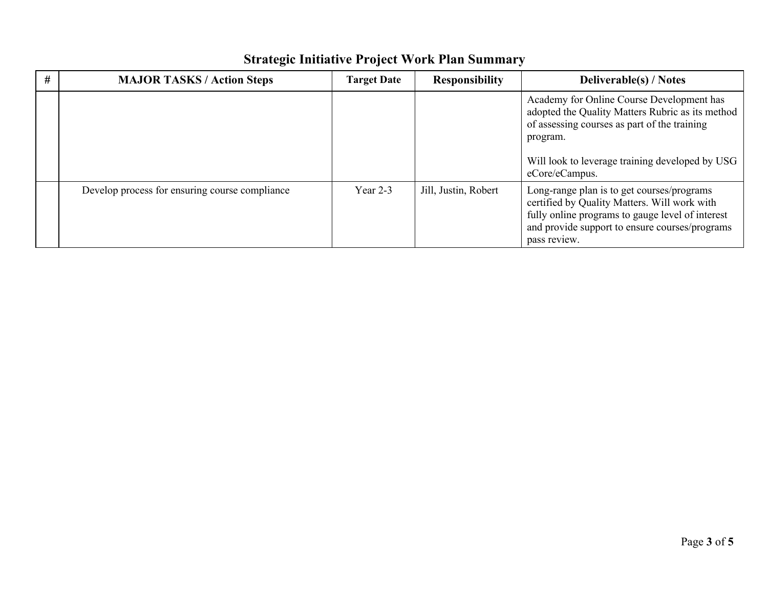## **# MAJOR TASKS / Action Steps Target Date Responsibility Deliverable(s) / Notes** Academy for Online Course Development has adopted the Quality Matters Rubric as its method of assessing courses as part of the training program. Will look to leverage training developed by USG eCore/eCampus. Develop process for ensuring course compliance Year 2-3 Jill, Justin, Robert Long-range plan is to get courses/programs certified by Quality Matters. Will work with fully online programs to gauge level of interest and provide support to ensure courses/programs pass review.

## **Strategic Initiative Project Work Plan Summary**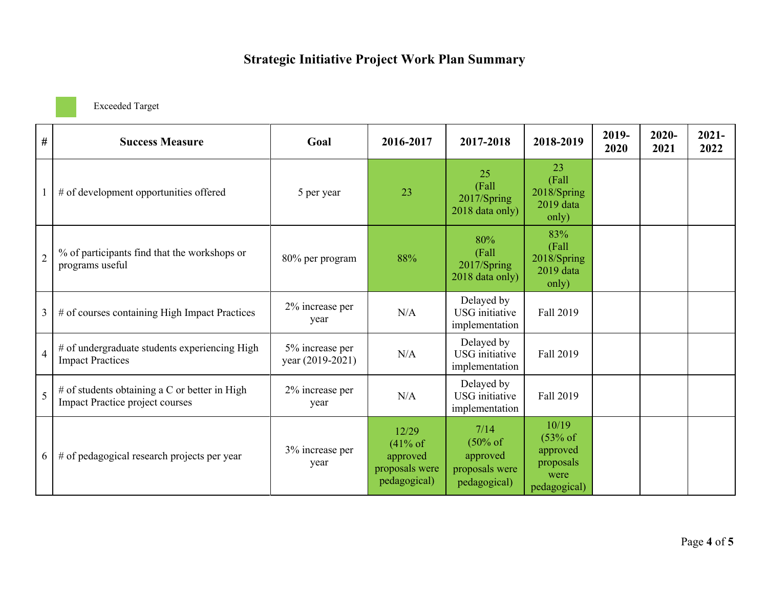Exceeded Target

| $\#$           | <b>Success Measure</b>                                                                  | Goal                                | 2016-2017                                                      | 2017-2018                                                                 | 2018-2019                                                           | 2019-<br>2020 | $2020 -$<br>2021 | $2021 -$<br>2022 |
|----------------|-----------------------------------------------------------------------------------------|-------------------------------------|----------------------------------------------------------------|---------------------------------------------------------------------------|---------------------------------------------------------------------|---------------|------------------|------------------|
|                | # of development opportunities offered                                                  | 5 per year                          | 23                                                             | 25<br>(Fall<br>2017/Spring<br>2018 data only)                             | 23<br>(Fall<br>2018/Spring<br>2019 data<br>only)                    |               |                  |                  |
| $\overline{2}$ | % of participants find that the workshops or<br>programs useful                         | 80% per program                     | 88%                                                            | 80%<br>(Fall<br>2017/Spring<br>2018 data only)                            | 83%<br>(Fall)<br>2018/Spring<br>2019 data<br>only)                  |               |                  |                  |
| 3              | # of courses containing High Impact Practices                                           | 2% increase per<br>year             | N/A                                                            | Delayed by<br><b>USG</b> initiative<br>implementation                     | Fall 2019                                                           |               |                  |                  |
| $\overline{4}$ | # of undergraduate students experiencing High<br><b>Impact Practices</b>                | 5% increase per<br>year (2019-2021) | N/A                                                            | Delayed by<br>USG initiative<br>implementation                            | Fall 2019                                                           |               |                  |                  |
| 5              | # of students obtaining a C or better in High<br><b>Impact Practice project courses</b> | 2% increase per<br>year             | N/A                                                            | Delayed by<br><b>USG</b> initiative<br>implementation                     | Fall 2019                                                           |               |                  |                  |
| 6              | # of pedagogical research projects per year                                             | 3% increase per<br>year             | 12/29<br>(41% of<br>approved<br>proposals were<br>pedagogical) | 7/14<br>$(50\% \text{ of }$<br>approved<br>proposals were<br>pedagogical) | 10/19<br>$(53%$ of<br>approved<br>proposals<br>were<br>pedagogical) |               |                  |                  |